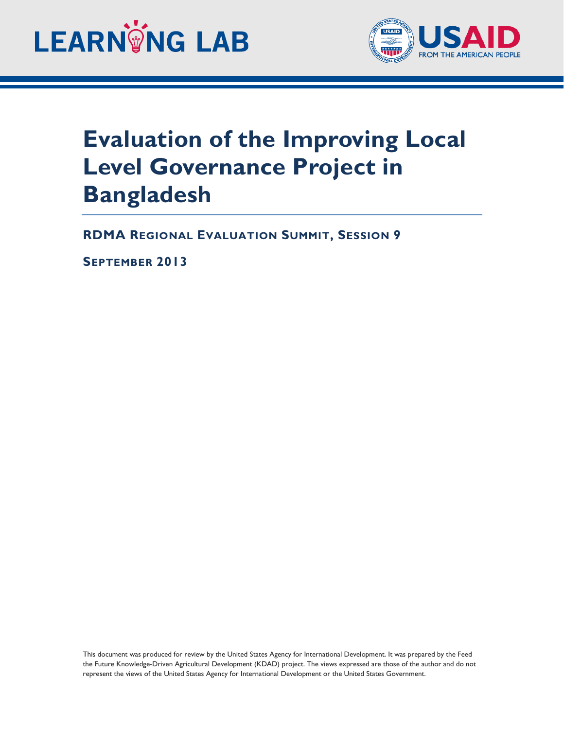



## **Evaluation of the Improving Local Level Governance Project in Bangladesh**

**RDMA REGIONAL EVALUATION SUMMIT, SESSION 9**

**SEPTEMBER 2013**

This document was produced for review by the United States Agency for International Development. It was prepared by the Feed the Future Knowledge-Driven Agricultural Development (KDAD) project. The views expressed are those of the author and do not represent the views of the United States Agency for International Development or the United States Government.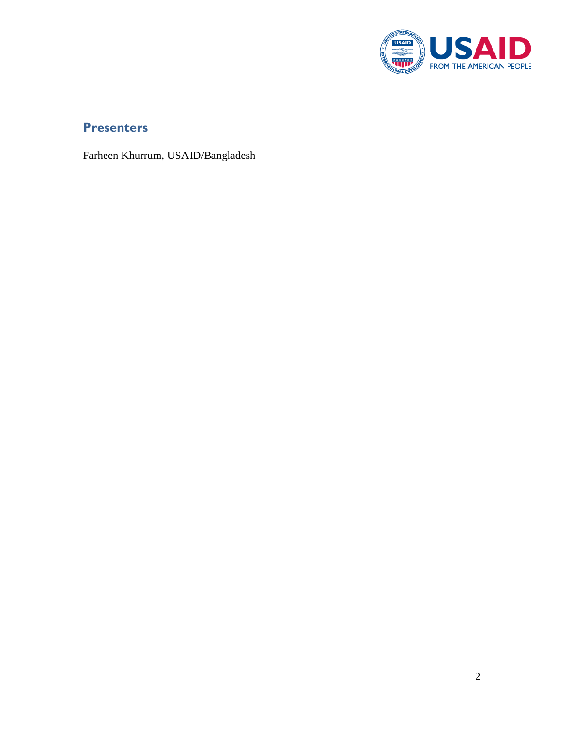

## **Presenters**

Farheen Khurrum, USAID/Bangladesh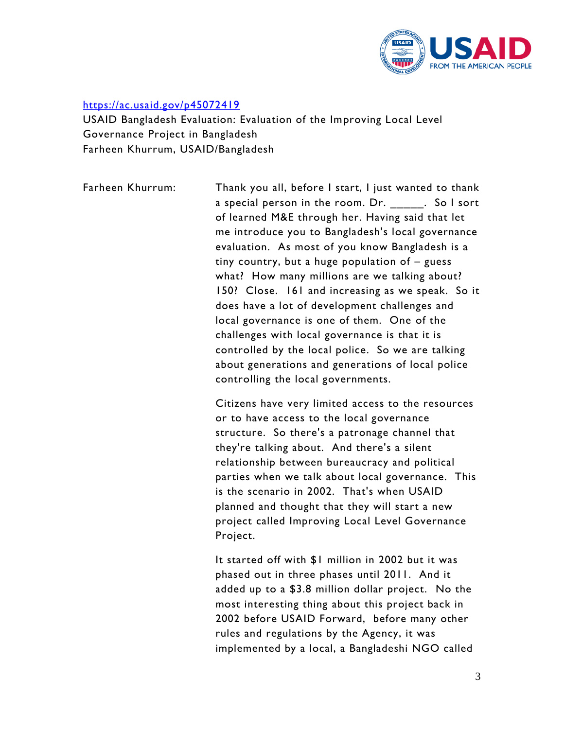

## <https://ac.usaid.gov/p45072419>

USAID Bangladesh Evaluation: Evaluation of the Improving Local Level Governance Project in Bangladesh Farheen Khurrum, USAID/Bangladesh

Farheen Khurrum: Thank you all, before I start, I just wanted to thank a special person in the room. Dr. \_\_\_\_\_\_. So I sort of learned M&E through her. Having said that let me introduce you to Bangladesh's local governance evaluation. As most of you know Bangladesh is a tiny country, but a huge population of – guess what? How many millions are we talking about? 150? Close. 161 and increasing as we speak. So it does have a lot of development challenges and local governance is one of them. One of the challenges with local governance is that it is controlled by the local police. So we are talking about generations and generations of local police controlling the local governments.

> Citizens have very limited access to the resources or to have access to the local governance structure. So there's a patronage channel that they're talking about. And there's a silent relationship between bureaucracy and political parties when we talk about local governance. This is the scenario in 2002. That's when USAID planned and thought that they will start a new project called Improving Local Level Governance Project.

> It started off with \$1 million in 2002 but it was phased out in three phases until 2011. And it added up to a \$3.8 million dollar project. No the most interesting thing about this project back in 2002 before USAID Forward, before many other rules and regulations by the Agency, it was implemented by a local, a Bangladeshi NGO called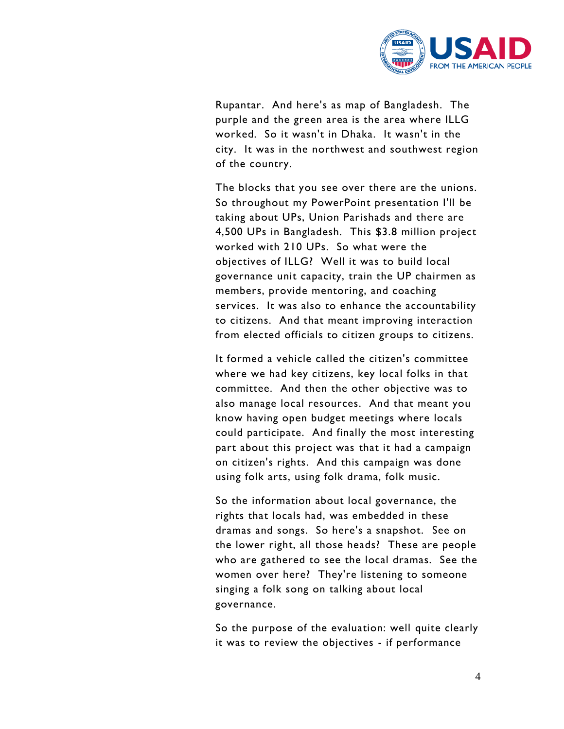

Rupantar. And here's as map of Bangladesh. The purple and the green area is the area where ILLG worked. So it wasn't in Dhaka. It wasn't in the city. It was in the northwest and southwest region of the country.

The blocks that you see over there are the unions. So throughout my PowerPoint presentation I'll be taking about UPs, Union Parishads and there are 4,500 UPs in Bangladesh. This \$3.8 million project worked with 210 UPs. So what were the objectives of ILLG? Well it was to build local governance unit capacity, train the UP chairmen as members, provide mentoring, and coaching services. It was also to enhance the accountability to citizens. And that meant improving interaction from elected officials to citizen groups to citizens.

It formed a vehicle called the citizen's committee where we had key citizens, key local folks in that committee. And then the other objective was to also manage local resources. And that meant you know having open budget meetings where locals could participate. And finally the most interesting part about this project was that it had a campaign on citizen's rights. And this campaign was done using folk arts, using folk drama, folk music.

So the information about local governance, the rights that locals had, was embedded in these dramas and songs. So here's a snapshot. See on the lower right, all those heads? These are people who are gathered to see the local dramas. See the women over here? They're listening to someone singing a folk song on talking about local governance.

So the purpose of the evaluation: well quite clearly it was to review the objectives - if performance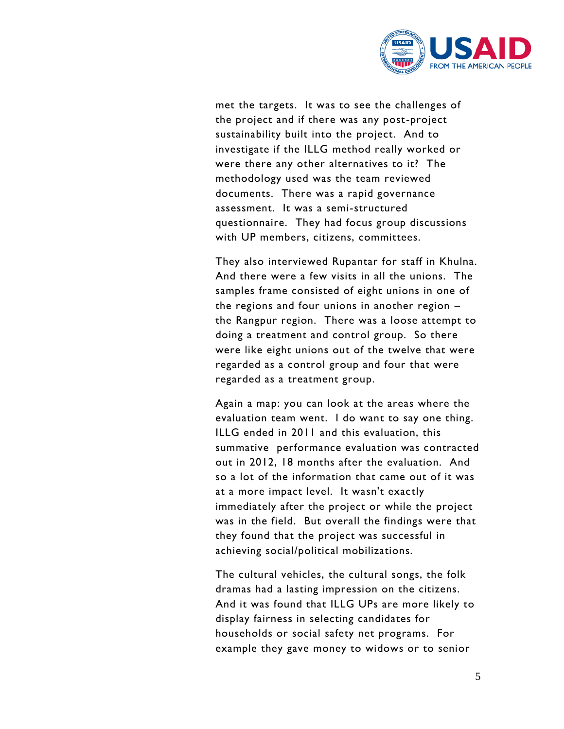

met the targets. It was to see the challenges of the project and if there was any post-project sustainability built into the project. And to investigate if the ILLG method really worked or were there any other alternatives to it? The methodology used was the team reviewed documents. There was a rapid governance assessment. It was a semi-structured questionnaire. They had focus group discussions with UP members, citizens, committees.

They also interviewed Rupantar for staff in Khulna. And there were a few visits in all the unions. The samples frame consisted of eight unions in one of the regions and four unions in another region – the Rangpur region. There was a loose attempt to doing a treatment and control group. So there were like eight unions out of the twelve that were regarded as a control group and four that were regarded as a treatment group.

Again a map: you can look at the areas where the evaluation team went. I do want to say one thing. ILLG ended in 2011 and this evaluation, this summative performance evaluation was contracted out in 2012, 18 months after the evaluation. And so a lot of the information that came out of it was at a more impact level. It wasn't exactly immediately after the project or while the project was in the field. But overall the findings were that they found that the project was successful in achieving social/political mobilizations.

The cultural vehicles, the cultural songs, the folk dramas had a lasting impression on the citizens. And it was found that ILLG UPs are more likely to display fairness in selecting candidates for households or social safety net programs. For example they gave money to widows or to senior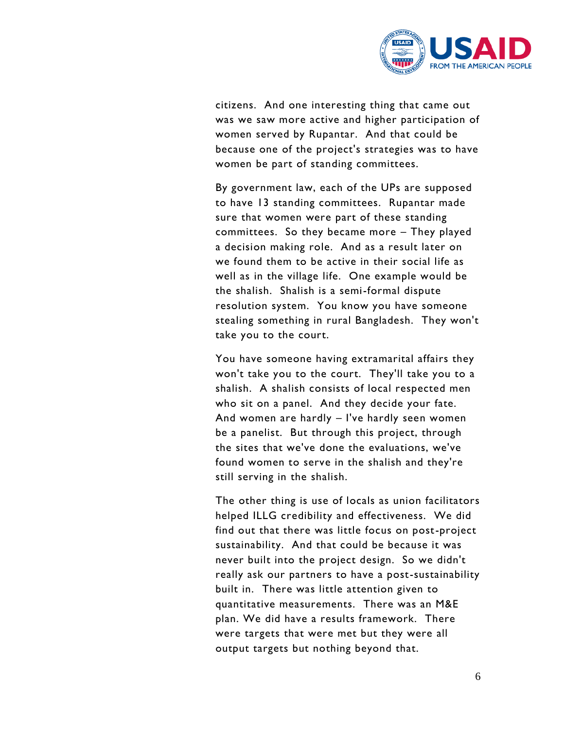

citizens. And one interesting thing that came out was we saw more active and higher participation of women served by Rupantar. And that could be because one of the project's strategies was to have women be part of standing committees.

By government law, each of the UPs are supposed to have 13 standing committees. Rupantar made sure that women were part of these standing committees. So they became more – They played a decision making role. And as a result later on we found them to be active in their social life as well as in the village life. One example would be the shalish. Shalish is a semi-formal dispute resolution system. You know you have someone stealing something in rural Bangladesh. They won't take you to the court.

You have someone having extramarital affairs they won't take you to the court. They'll take you to a shalish. A shalish consists of local respected men who sit on a panel. And they decide your fate. And women are hardly – I've hardly seen women be a panelist. But through this project, through the sites that we've done the evaluations, we've found women to serve in the shalish and they're still serving in the shalish.

The other thing is use of locals as union facilitators helped ILLG credibility and effectiveness. We did find out that there was little focus on post-project sustainability. And that could be because it was never built into the project design. So we didn't really ask our partners to have a post-sustainability built in. There was little attention given to quantitative measurements. There was an M&E plan. We did have a results framework. There were targets that were met but they were all output targets but nothing beyond that.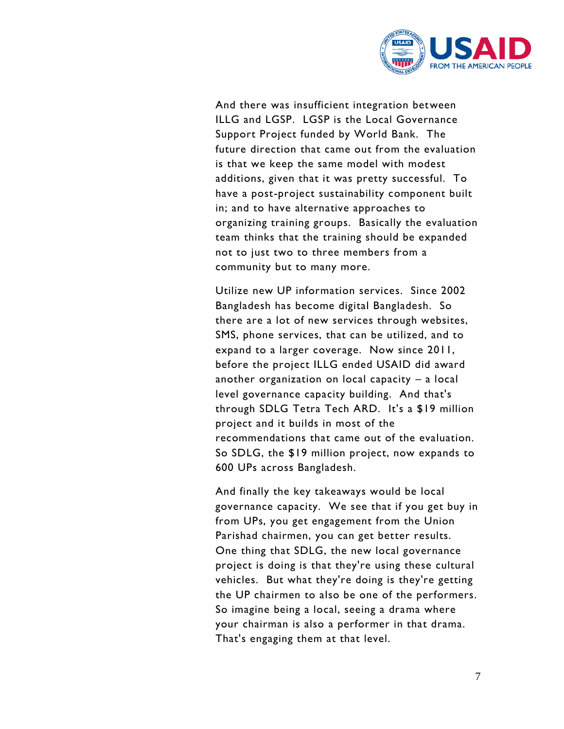

And there was insufficient integration between ILLG and LGSP. LGSP is the Local Governance Support Project funded by World Bank. The future direction that came out from the evaluation is that we keep the same model with modest additions, given that it was pretty successful. To have a post-project sustainability component built in; and to have alternative approaches to organizing training groups. Basically the evaluation team thinks that the training should be expanded not to just two to three members from a community but to many more.

Utilize new UP information services. Since 2002 Bangladesh has become digital Bangladesh. So there are a lot of new services through websites, SMS, phone services, that can be utilized, and to expand to a larger coverage. Now since 2011, before the project ILLG ended USAID did award another organization on local capacity – a local level governance capacity building. And that's through SDLG Tetra Tech ARD. It's a \$19 million project and it builds in most of the recommendations that came out of the evaluation. So SDLG, the \$19 million project, now expands to 600 UPs across Bangladesh.

And finally the key takeaways would be local governance capacity. We see that if you get buy in from UPs, you get engagement from the Union Parishad chairmen, you can get better results. One thing that SDLG, the new local governance project is doing is that they're using these cultural vehicles. But what they're doing is they're getting the UP chairmen to also be one of the performers. So imagine being a local, seeing a drama where your chairman is also a performer in that drama. That's engaging them at that level.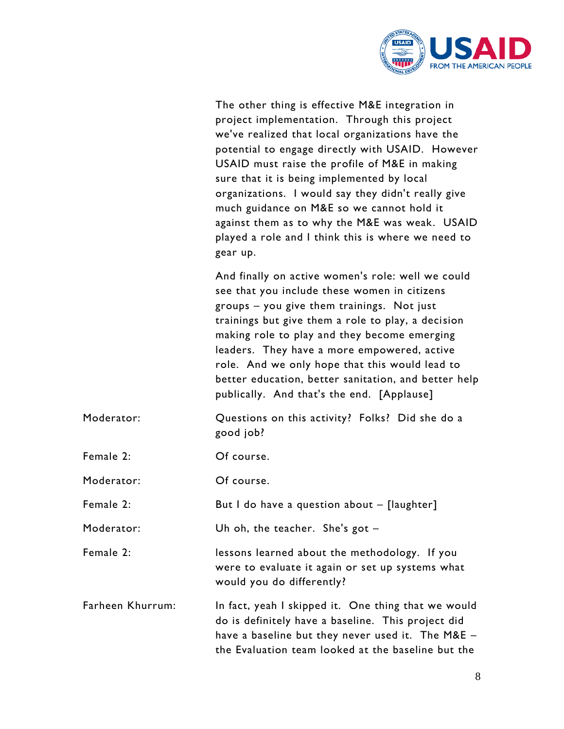

| The other thing is effective M&E integration in    |
|----------------------------------------------------|
| project implementation. Through this project       |
| we've realized that local organizations have the   |
| potential to engage directly with USAID. However   |
| USAID must raise the profile of M&E in making      |
| sure that it is being implemented by local         |
| organizations. I would say they didn't really give |
| much guidance on M&E so we cannot hold it          |
| against them as to why the M&E was weak. USAID     |
| played a role and I think this is where we need to |
| gear up.                                           |

And finally on active women's role: well we could see that you include these women in citizens groups – you give them trainings. Not just trainings but give them a role to play, a decision making role to play and they become emerging leaders. They have a more empowered, active role. And we only hope that this would lead to better education, better sanitation, and better help publically. And that's the end. [Applause]

- Moderator: Questions on this activity? Folks? Did she do a good job?
- Female 2: Of course.

Moderator: Of course.

Female 2: But I do have a question about – [laughter]

Moderator: Uh oh, the teacher. She's got –

Female 2: lessons learned about the methodology. If you were to evaluate it again or set up systems what would you do differently?

Farheen Khurrum: In fact, yeah I skipped it. One thing that we would do is definitely have a baseline. This project did have a baseline but they never used it. The M&E – the Evaluation team looked at the baseline but the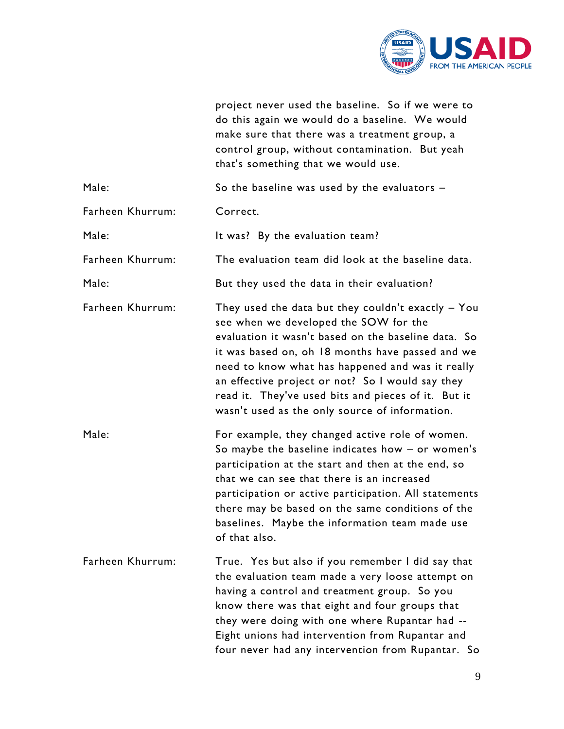

| project never used the baseline. So if we were to |
|---------------------------------------------------|
| do this again we would do a baseline. We would    |
| make sure that there was a treatment group, a     |
| control group, without contamination. But yeah    |
| that's something that we would use.               |

| Male:            | So the baseline was used by the evaluators -                                                                                                                                                                                                                                                                                                                                                                              |
|------------------|---------------------------------------------------------------------------------------------------------------------------------------------------------------------------------------------------------------------------------------------------------------------------------------------------------------------------------------------------------------------------------------------------------------------------|
| Farheen Khurrum: | Correct.                                                                                                                                                                                                                                                                                                                                                                                                                  |
| Male:            | It was? By the evaluation team?                                                                                                                                                                                                                                                                                                                                                                                           |
| Farheen Khurrum: | The evaluation team did look at the baseline data.                                                                                                                                                                                                                                                                                                                                                                        |
| Male:            | But they used the data in their evaluation?                                                                                                                                                                                                                                                                                                                                                                               |
| Farheen Khurrum: | They used the data but they couldn't exactly $-$ You<br>see when we developed the SOW for the<br>evaluation it wasn't based on the baseline data. So<br>it was based on, oh 18 months have passed and we<br>need to know what has happened and was it really<br>an effective project or not? So I would say they<br>read it. They've used bits and pieces of it. But it<br>wasn't used as the only source of information. |
| Male:            | For example, they changed active role of women.<br>So maybe the baseline indicates how $-$ or women's<br>participation at the start and then at the end, so<br>that we can see that there is an increased<br>participation or active participation. All statements<br>there may be based on the same conditions of the<br>baselines. Maybe the information team made use<br>of that also.                                 |
| Farheen Khurrum: | True. Yes but also if you remember I did say that<br>the evaluation team made a very loose attempt on<br>having a control and treatment group. So you<br>know there was that eight and four groups that<br>they were doing with one where Rupantar had --<br>Eight unions had intervention from Rupantar and<br>four never had any intervention from Rupantar. So                                                         |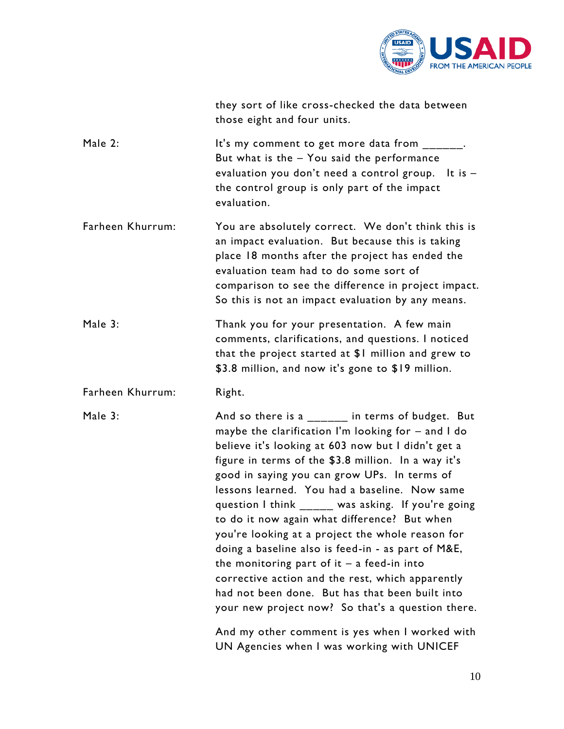

|                  | they sort of like cross-checked the data between<br>those eight and four units.                                                                                                                                                                                                                                                                                                                                                                                                                                                                                                                                                                 |
|------------------|-------------------------------------------------------------------------------------------------------------------------------------------------------------------------------------------------------------------------------------------------------------------------------------------------------------------------------------------------------------------------------------------------------------------------------------------------------------------------------------------------------------------------------------------------------------------------------------------------------------------------------------------------|
| Male 2:          | It's my comment to get more data from ______.<br>But what is the - You said the performance<br>evaluation you don't need a control group. It is -<br>the control group is only part of the impact<br>evaluation.                                                                                                                                                                                                                                                                                                                                                                                                                                |
| Farheen Khurrum: | You are absolutely correct. We don't think this is<br>an impact evaluation. But because this is taking<br>place 18 months after the project has ended the<br>evaluation team had to do some sort of<br>comparison to see the difference in project impact.<br>So this is not an impact evaluation by any means.                                                                                                                                                                                                                                                                                                                                 |
| Male 3:          | Thank you for your presentation. A few main<br>comments, clarifications, and questions. I noticed<br>that the project started at \$1 million and grew to<br>\$3.8 million, and now it's gone to \$19 million.                                                                                                                                                                                                                                                                                                                                                                                                                                   |
| Farheen Khurrum: | Right.                                                                                                                                                                                                                                                                                                                                                                                                                                                                                                                                                                                                                                          |
| Male 3:          | And so there is a $\frac{1}{2}$ in terms of budget. But<br>maybe the clarification I'm looking for - and I do<br>believe it's looking at 603 now but I didn't get a<br>figure in terms of the \$3.8 million. In a way it's<br>good in saying you can grow UPs. In terms of<br>lessons learned. You had a baseline. Now same<br>question I think _____ was asking. If you're going<br>to do it now again what difference? But when<br>you're looking at a project the whole reason for<br>doing a baseline also is feed-in - as part of M&E,<br>the monitoring part of $it - a$ feed-in into<br>corrective action and the rest, which apparently |

And my other comment is yes when I worked with UN Agencies when I was working with UNICEF

had not been done. But has that been built into your new project now? So that's a question there.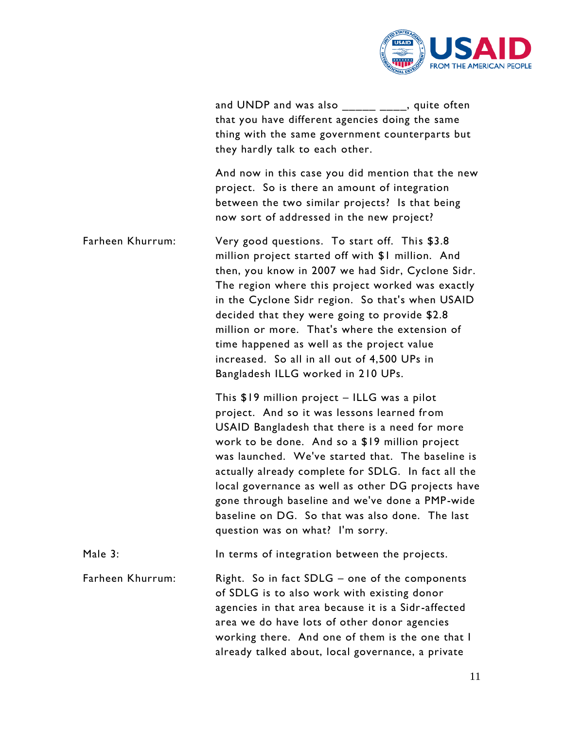

| and UNDP and was also $\frac{1}{\sqrt{2}}$ $\frac{1}{\sqrt{2}}$ , quite often |
|-------------------------------------------------------------------------------|
| that you have different agencies doing the same                               |
| thing with the same government counterparts but                               |
| they hardly talk to each other.                                               |

And now in this case you did mention that the new project. So is there an amount of integration between the two similar projects? Is that being now sort of addressed in the new project?

Farheen Khurrum: Very good questions. To start off. This \$3.8 million project started off with \$1 million. And then, you know in 2007 we had Sidr, Cyclone Sidr. The region where this project worked was exactly in the Cyclone Sidr region. So that's when USAID decided that they were going to provide \$2.8 million or more. That's where the extension of time happened as well as the project value increased. So all in all out of 4,500 UPs in Bangladesh ILLG worked in 210 UPs.

> This \$19 million project – ILLG was a pilot project. And so it was lessons learned from USAID Bangladesh that there is a need for more work to be done. And so a \$19 million project was launched. We've started that. The baseline is actually already complete for SDLG. In fact all the local governance as well as other DG projects have gone through baseline and we've done a PMP-wide baseline on DG. So that was also done. The last question was on what? I'm sorry.

Male 3: In terms of integration between the projects.

Farheen Khurrum: Right. So in fact SDLG – one of the components of SDLG is to also work with existing donor agencies in that area because it is a Sidr-affected area we do have lots of other donor agencies working there. And one of them is the one that I already talked about, local governance, a private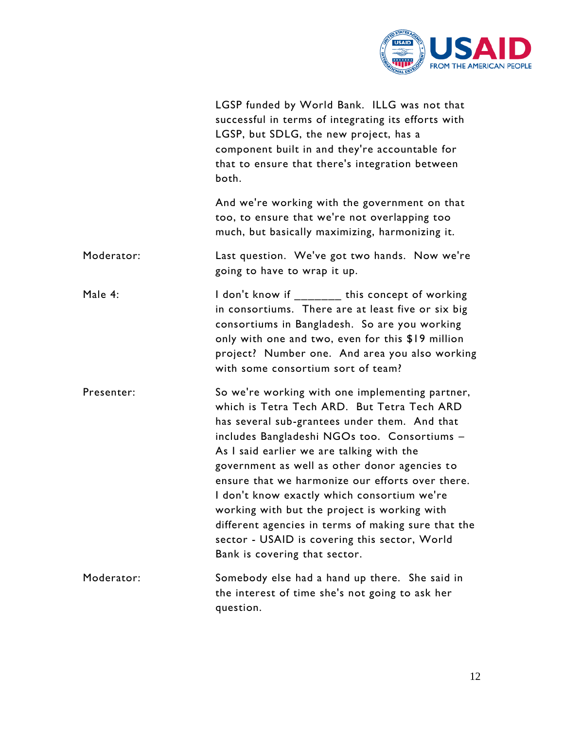

|            | LGSP funded by World Bank. ILLG was not that<br>successful in terms of integrating its efforts with<br>LGSP, but SDLG, the new project, has a<br>component built in and they're accountable for<br>that to ensure that there's integration between<br>both.                                                                                                                                                                                                                                                                                                                               |
|------------|-------------------------------------------------------------------------------------------------------------------------------------------------------------------------------------------------------------------------------------------------------------------------------------------------------------------------------------------------------------------------------------------------------------------------------------------------------------------------------------------------------------------------------------------------------------------------------------------|
|            | And we're working with the government on that<br>too, to ensure that we're not overlapping too<br>much, but basically maximizing, harmonizing it.                                                                                                                                                                                                                                                                                                                                                                                                                                         |
| Moderator: | Last question. We've got two hands. Now we're<br>going to have to wrap it up.                                                                                                                                                                                                                                                                                                                                                                                                                                                                                                             |
| Male 4:    | I don't know if _______ this concept of working<br>in consortiums. There are at least five or six big<br>consortiums in Bangladesh. So are you working<br>only with one and two, even for this \$19 million<br>project? Number one. And area you also working<br>with some consortium sort of team?                                                                                                                                                                                                                                                                                       |
| Presenter: | So we're working with one implementing partner,<br>which is Tetra Tech ARD. But Tetra Tech ARD<br>has several sub-grantees under them. And that<br>includes Bangladeshi NGOs too. Consortiums -<br>As I said earlier we are talking with the<br>government as well as other donor agencies to<br>ensure that we harmonize our efforts over there.<br>I don't know exactly which consortium we're<br>working with but the project is working with<br>different agencies in terms of making sure that the<br>sector - USAID is covering this sector, World<br>Bank is covering that sector. |
| Moderator: | Somebody else had a hand up there. She said in<br>the interest of time she's not going to ask her<br>question.                                                                                                                                                                                                                                                                                                                                                                                                                                                                            |